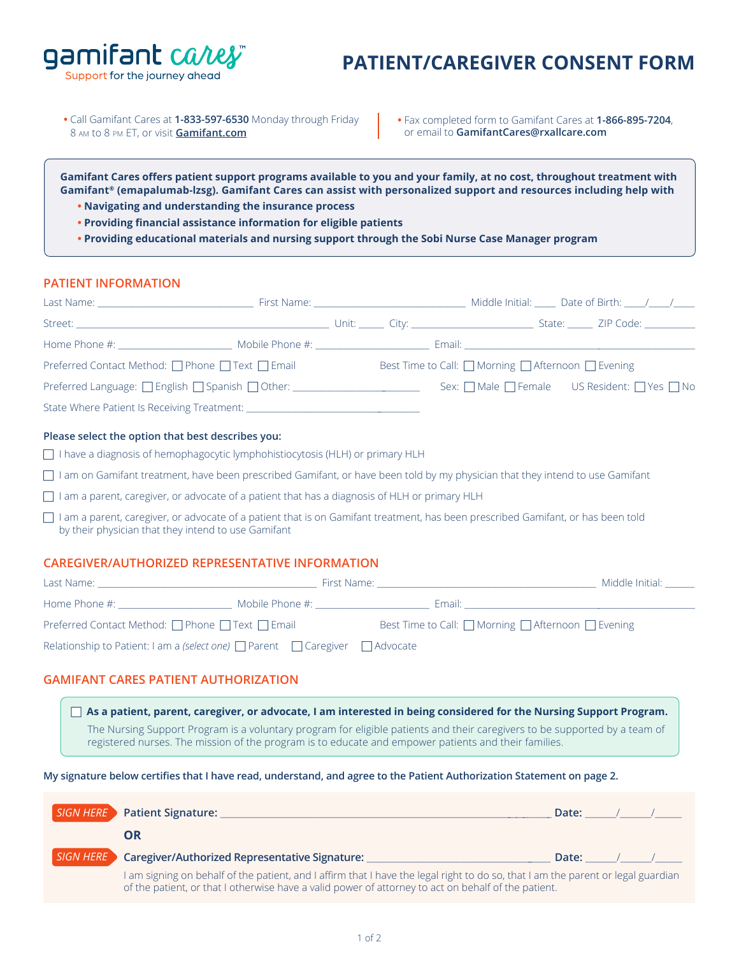Support for the journey ahead

gamifant cares

# **PATIENT/CAREGIVER CONSENT FORM**

**•** Call Gamifant Cares at **1-833-597-6530** Monday through Friday 8 am to 8 pm ET, or visit **[Gamifant.com](https://gamifant.com)**

**•** Fax completed form to Gamifant Cares at **1-866-895-7204**, or email to **GamifantCares@rxallcare.com**

**Gamifant Cares offers patient support programs available to you and your family, at no cost, throughout treatment with Gamifant® (emapalumab-lzsg). Gamifant Cares can assist with personalized support and resources including help with**

- **• Navigating and understanding the insurance process**
- **• Providing financial assistance information for eligible patients**
- **• Providing educational materials and nursing support through the Sobi Nurse Case Manager program**

#### **PATIENT INFORMATION**

| Last Name: The contract of the contract of the contract of the contract of the contract of the contract of the |  |                                                    |                                                                              |  |  |  |  |
|----------------------------------------------------------------------------------------------------------------|--|----------------------------------------------------|------------------------------------------------------------------------------|--|--|--|--|
|                                                                                                                |  |                                                    |                                                                              |  |  |  |  |
|                                                                                                                |  |                                                    |                                                                              |  |  |  |  |
| Preferred Contact Method: $\Box$ Phone $\Box$ Text $\Box$ Email                                                |  | Best Time to Call: □ Morning □ Afternoon □ Evening |                                                                              |  |  |  |  |
| $Preferred$ Language: $\Box$ English $\Box$ Spanish $\Box$ Other: ____________________________                 |  |                                                    | Sex: $\bigcap$ Male $\bigcap$ Female US Resident: $\bigcap$ Yes $\bigcap$ No |  |  |  |  |
|                                                                                                                |  |                                                    |                                                                              |  |  |  |  |
| Please select the option that best describes you:                                                              |  |                                                    |                                                                              |  |  |  |  |

□ I have a diagnosis of hemophagocytic lymphohistiocytosis (HLH) or primary HLH

- $\Box$  I am on Gamifant treatment, have been prescribed Gamifant, or have been told by my physician that they intend to use Gamifant
- □ I am a parent, caregiver, or advocate of a patient that has a diagnosis of HLH or primary HLH
- I am a parent, caregiver, or advocate of a patient that is on Gamifant treatment, has been prescribed Gamifant, or has been told by their physician that they intend to use Gamifant

### **CAREGIVER/AUTHORIZED REPRESENTATIVE INFORMATION**

| Last Name:                                                                                  |                 | First Name:                                                       | Middle Initial: |
|---------------------------------------------------------------------------------------------|-----------------|-------------------------------------------------------------------|-----------------|
| Home Phone #:                                                                               | Mobile Phone #: | Email:                                                            |                 |
| Preferred Contact Method: $\Box$ Phone $\Box$ Text $\Box$ Email                             |                 | Best Time to Call: $\Box$ Morning $\Box$ Afternoon $\Box$ Evening |                 |
| Relationship to Patient: I am a (select one) $\Box$ Parent $\Box$ Caregiver $\Box$ Advocate |                 |                                                                   |                 |

### **GAMIFANT CARES PATIENT AUTHORIZATION**

 **As a patient, parent, caregiver, or advocate, I am interested in being considered for the Nursing Support Program.** The Nursing Support Program is a voluntary program for eligible patients and their caregivers to be supported by a team of registered nurses. The mission of the program is to educate and empower patients and their families.

**My signature below certifies that I have read, understand, and agree to the Patient Authorization Statement on page 2.**

|           | SIGN HERE Patient Signature:                                                                                                                                                                                                            | Date: |  |  |  |  |
|-----------|-----------------------------------------------------------------------------------------------------------------------------------------------------------------------------------------------------------------------------------------|-------|--|--|--|--|
|           | DR                                                                                                                                                                                                                                      |       |  |  |  |  |
| SIGN HERE | Caregiver/Authorized Representative Signature:                                                                                                                                                                                          | Date: |  |  |  |  |
|           | I am signing on behalf of the patient, and I affirm that I have the legal right to do so, that I am the parent or legal guardian<br>of the patient, or that I otherwise have a valid power of attorney to act on behalf of the patient. |       |  |  |  |  |